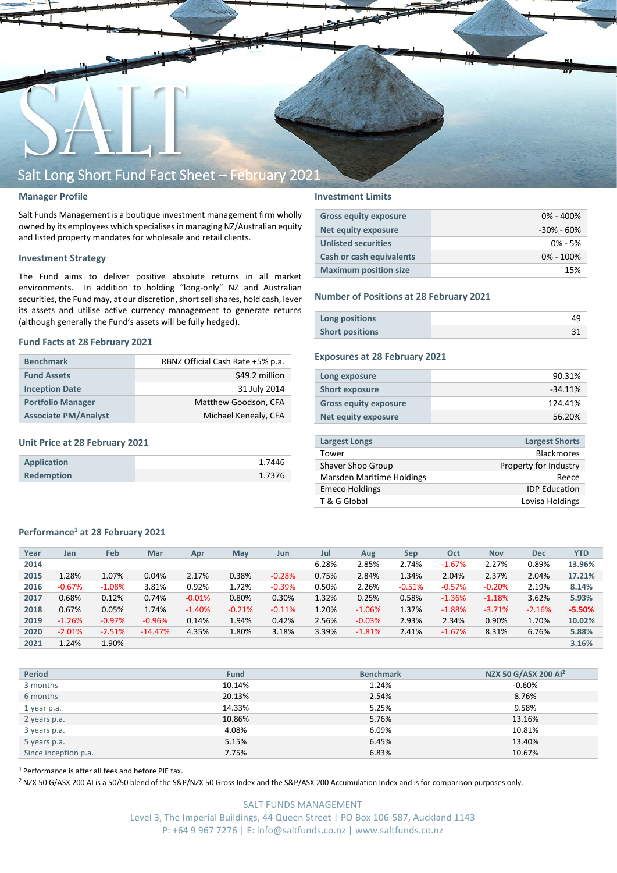

## **Manager Profile**

Salt Funds Management is a boutique investment management firm wholly owned by its employees which specialisesin managing NZ/Australian equity and listed property mandates for wholesale and retail clients.

## **Investment Strategy**

The Fund aims to deliver positive absolute returns in all market environments. In addition to holding "long-only" NZ and Australian securities, the Fund may, at our discretion, short sell shares, hold cash, lever its assets and utilise active currency management to generate returns (although generally the Fund's assets will be fully hedged).

## **Fund Facts at 28 February 2021**

| <b>Benchmark</b>            | RBNZ Official Cash Rate +5% p.a. |  |  |  |  |
|-----------------------------|----------------------------------|--|--|--|--|
| <b>Fund Assets</b>          | \$49.2 million                   |  |  |  |  |
| <b>Inception Date</b>       | 31 July 2014                     |  |  |  |  |
| <b>Portfolio Manager</b>    | Matthew Goodson, CFA             |  |  |  |  |
| <b>Associate PM/Analyst</b> | Michael Kenealy, CFA             |  |  |  |  |

## **Unit Price at 28 February 2021**

| Application       | 1.7446 |
|-------------------|--------|
| <b>Redemption</b> | 1.7376 |

## **Investment Limits**

| <b>Gross equity exposure</b> | $0\% - 400\%$  |
|------------------------------|----------------|
| <b>Net equity exposure</b>   | $-30\% - 60\%$ |
| <b>Unlisted securities</b>   | $0\% - 5\%$    |
| Cash or cash equivalents     | $0\% - 100\%$  |
| <b>Maximum position size</b> | 15%            |

### **Number of Positions at 28 February 2021**

| Long positions         |  |
|------------------------|--|
| <b>Short positions</b> |  |

## **Exposures at 28 February 2021**

| Long exposure                | 90.31%    |
|------------------------------|-----------|
| <b>Short exposure</b>        | $-34.11%$ |
| <b>Gross equity exposure</b> | 124.41%   |
| Net equity exposure          | 56.20%    |
|                              |           |

| <b>Largest Longs</b>      | <b>Largest Shorts</b> |
|---------------------------|-----------------------|
| Tower                     | <b>Blackmores</b>     |
| Shaver Shop Group         | Property for Industry |
| Marsden Maritime Holdings | Reece                 |
| <b>Emeco Holdings</b>     | <b>IDP</b> Education  |
| T & G Global              | Lovisa Holdings       |
|                           |                       |

## **Performance<sup>1</sup> at 28 February 2021**

| Year | Jan      | Feb       | Mar       | Apr      | May      | Jun      | Jul   | Aug      | Sep      | Oct      | <b>Nov</b> | <b>Dec</b> | <b>YTD</b> |
|------|----------|-----------|-----------|----------|----------|----------|-------|----------|----------|----------|------------|------------|------------|
| 2014 |          |           |           |          |          |          | 6.28% | 2.85%    | 2.74%    | $-1.67%$ | 2.27%      | 0.89%      | 13.96%     |
| 2015 | 1.28%    | 1.07%     | 0.04%     | 2.17%    | 0.38%    | $-0.28%$ | 0.75% | 2.84%    | 1.34%    | 2.04%    | 2.37%      | 2.04%      | 17.21%     |
| 2016 | $-0.67%$ | $-1.08%$  | 3.81%     | 0.92%    | 1.72%    | $-0.39%$ | 0.50% | 2.26%    | $-0.51%$ | $-0.57%$ | $-0.20%$   | 2.19%      | 8.14%      |
| 2017 | 0.68%    | 0.12%     | 0.74%     | $-0.01%$ | 0.80%    | 0.30%    | 1.32% | 0.25%    | 0.58%    | $-1.36%$ | $-1.18%$   | 3.62%      | 5.93%      |
| 2018 | 0.67%    | 0.05%     | 1.74%     | $-1.40%$ | $-0.21%$ | $-0.11%$ | 1.20% | $-1.06%$ | 1.37%    | $-1.88%$ | $-3.71%$   | $-2.16%$   | $-5.50%$   |
| 2019 | $-1.26%$ | $-0.97\%$ | $-0.96%$  | 0.14%    | 1.94%    | 0.42%    | 2.56% | $-0.03%$ | 2.93%    | 2.34%    | 0.90%      | 1.70%      | 10.02%     |
| 2020 | $-2.01%$ | $-2.51%$  | $-14.47%$ | 4.35%    | 1.80%    | 3.18%    | 3.39% | $-1.81%$ | 2.41%    | $-1.67%$ | 8.31%      | 6.76%      | 5.88%      |
| 2021 | 1.24%    | 1.90%     |           |          |          |          |       |          |          |          |            |            | 3.16%      |

| <b>Period</b>        | <b>Fund</b> | <b>Benchmark</b> | NZX 50 G/ASX 200 Al <sup>2</sup> |
|----------------------|-------------|------------------|----------------------------------|
| 3 months             | 10.14%      | 1.24%            | -0.60%                           |
| 6 months             | 20.13%      | 2.54%            | 8.76%                            |
| 1 year p.a.          | 14.33%      | 5.25%            | 9.58%                            |
| 2 years p.a.         | 10.86%      | 5.76%            | 13.16%                           |
| 3 years p.a.         | 4.08%       | 6.09%            | 10.81%                           |
| 5 years p.a.         | 5.15%       | 6.45%            | 13.40%                           |
| Since inception p.a. | 7.75%       | 6.83%            | 10.67%                           |

<sup>1</sup> Performance is after all fees and before PIE tax.

<sup>2</sup> NZX 50 G/ASX 200 AI is a 50/50 blend of the S&P/NZX 50 Gross Index and the S&P/ASX 200 Accumulation Index and is for comparison purposes only.

SALT FUNDS MANAGEMENT Level 3, The Imperial Buildings, 44 Queen Street | PO Box 106-587, Auckland 1143 P: +64 9 967 7276 | E: info@saltfunds.co.nz | www.saltfunds.co.nz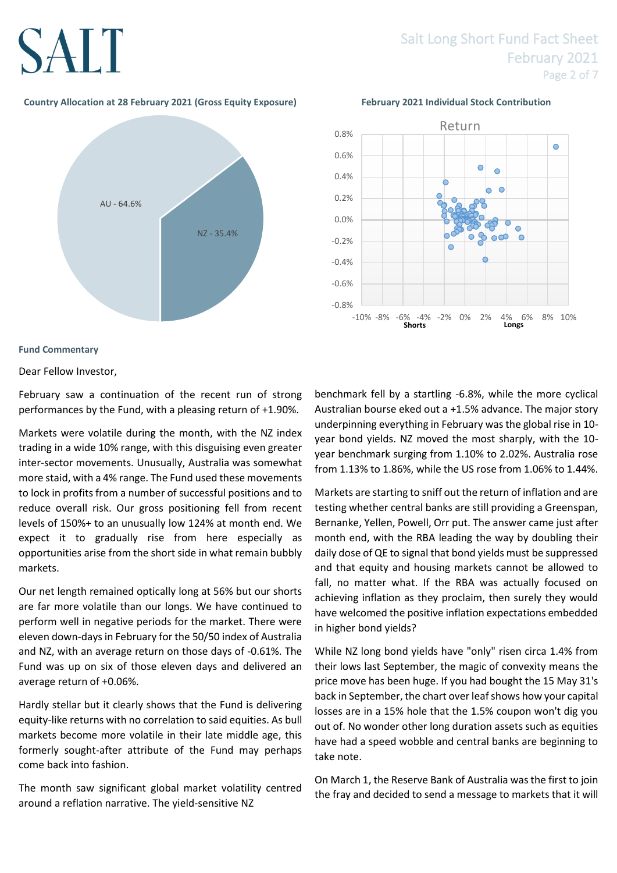# SALT

## Salt Long Short Fund Fact Sheet February 2021 Page 2 of 7

## **Country Allocation at 28 February 2021 (Gross Equity Exposure) February 2021 Individual Stock Contribution**





## **Fund Commentary**

Dear Fellow Investor,

February saw a continuation of the recent run of strong performances by the Fund, with a pleasing return of +1.90%.

Markets were volatile during the month, with the NZ index trading in a wide 10% range, with this disguising even greater inter-sector movements. Unusually, Australia was somewhat more staid, with a 4% range. The Fund used these movements to lock in profits from a number of successful positions and to reduce overall risk. Our gross positioning fell from recent levels of 150%+ to an unusually low 124% at month end. We expect it to gradually rise from here especially as opportunities arise from the short side in what remain bubbly markets.

Our net length remained optically long at 56% but our shorts are far more volatile than our longs. We have continued to perform well in negative periods for the market. There were eleven down-days in February for the 50/50 index of Australia and NZ, with an average return on those days of -0.61%. The Fund was up on six of those eleven days and delivered an average return of +0.06%.

Hardly stellar but it clearly shows that the Fund is delivering equity-like returns with no correlation to said equities. As bull markets become more volatile in their late middle age, this formerly sought-after attribute of the Fund may perhaps come back into fashion.

The month saw significant global market volatility centred around a reflation narrative. The yield-sensitive NZ

benchmark fell by a startling -6.8%, while the more cyclical Australian bourse eked out a +1.5% advance. The major story underpinning everything in February was the global rise in 10 year bond yields. NZ moved the most sharply, with the 10 year benchmark surging from 1.10% to 2.02%. Australia rose from 1.13% to 1.86%, while the US rose from 1.06% to 1.44%.

Markets are starting to sniff out the return of inflation and are testing whether central banks are still providing a Greenspan, Bernanke, Yellen, Powell, Orr put. The answer came just after month end, with the RBA leading the way by doubling their daily dose of QE to signal that bond yields must be suppressed and that equity and housing markets cannot be allowed to fall, no matter what. If the RBA was actually focused on achieving inflation as they proclaim, then surely they would have welcomed the positive inflation expectations embedded in higher bond yields?

While NZ long bond yields have "only" risen circa 1.4% from their lows last September, the magic of convexity means the price move has been huge. If you had bought the 15 May 31's back in September, the chart over leaf shows how your capital losses are in a 15% hole that the 1.5% coupon won't dig you out of. No wonder other long duration assets such as equities have had a speed wobble and central banks are beginning to take note.

On March 1, the Reserve Bank of Australia was the first to join the fray and decided to send a message to markets that it will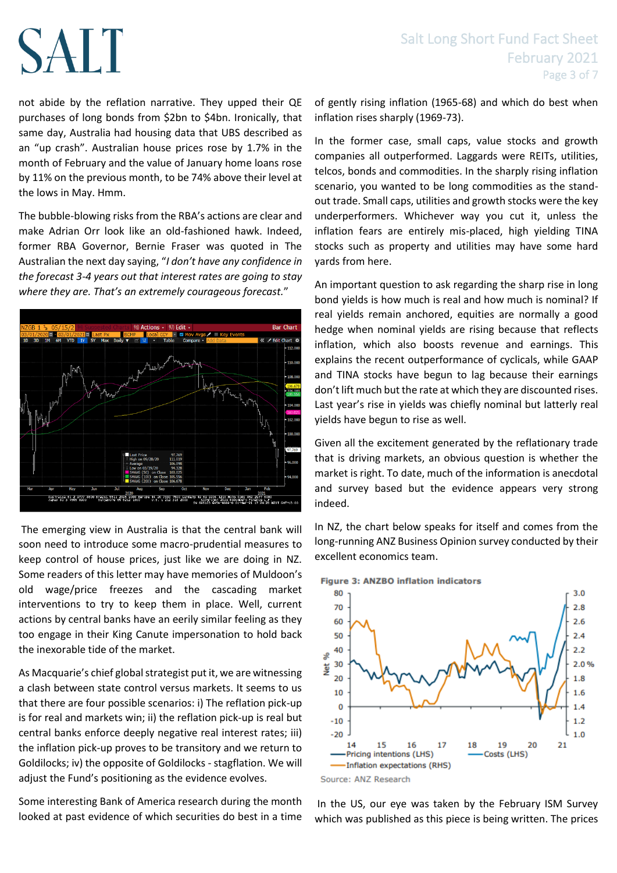# **SALT**

not abide by the reflation narrative. They upped their QE purchases of long bonds from \$2bn to \$4bn. Ironically, that same day, Australia had housing data that UBS described as an "up crash". Australian house prices rose by 1.7% in the month of February and the value of January home loans rose by 11% on the previous month, to be 74% above their level at the lows in May. Hmm.

The bubble-blowing risks from the RBA's actions are clear and make Adrian Orr look like an old-fashioned hawk. Indeed, former RBA Governor, Bernie Fraser was quoted in The Australian the next day saying, "*I don't have any confidence in the forecast 3-4 years out that interest rates are going to stay where they are. That's an extremely courageous forecast.*"



The emerging view in Australia is that the central bank will soon need to introduce some macro-prudential measures to keep control of house prices, just like we are doing in NZ. Some readers of this letter may have memories of Muldoon's old wage/price freezes and the cascading market interventions to try to keep them in place. Well, current actions by central banks have an eerily similar feeling as they too engage in their King Canute impersonation to hold back the inexorable tide of the market.

As Macquarie's chief global strategist put it, we are witnessing a clash between state control versus markets. It seems to us that there are four possible scenarios: i) The reflation pick-up is for real and markets win; ii) the reflation pick-up is real but central banks enforce deeply negative real interest rates; iii) the inflation pick-up proves to be transitory and we return to Goldilocks; iv) the opposite of Goldilocks - stagflation. We will adjust the Fund's positioning as the evidence evolves.

Some interesting Bank of America research during the month looked at past evidence of which securities do best in a time of gently rising inflation (1965-68) and which do best when inflation rises sharply (1969-73).

In the former case, small caps, value stocks and growth companies all outperformed. Laggards were REITs, utilities, telcos, bonds and commodities. In the sharply rising inflation scenario, you wanted to be long commodities as the standout trade. Small caps, utilities and growth stocks were the key underperformers. Whichever way you cut it, unless the inflation fears are entirely mis-placed, high yielding TINA stocks such as property and utilities may have some hard yards from here.

An important question to ask regarding the sharp rise in long bond yields is how much is real and how much is nominal? If real yields remain anchored, equities are normally a good hedge when nominal yields are rising because that reflects inflation, which also boosts revenue and earnings. This explains the recent outperformance of cyclicals, while GAAP and TINA stocks have begun to lag because their earnings don't lift much but the rate at which they are discounted rises. Last year's rise in yields was chiefly nominal but latterly real yields have begun to rise as well.

Given all the excitement generated by the reflationary trade that is driving markets, an obvious question is whether the market is right. To date, much of the information is anecdotal and survey based but the evidence appears very strong indeed.

In NZ, the chart below speaks for itself and comes from the long-running ANZ Business Opinion survey conducted by their excellent economics team.



**Figure 3: ANZBO inflation indicators** 

In the US, our eye was taken by the February ISM Survey which was published as this piece is being written. The prices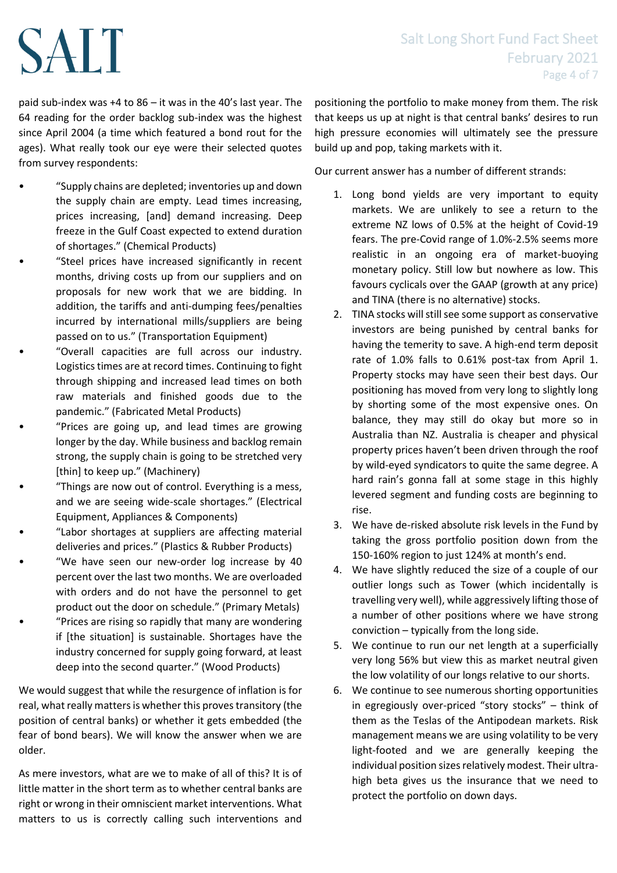## Salt Long Short Fund Fact Sheet February 2021 Page 4 of 7

paid sub-index was +4 to 86 – it was in the 40's last year. The 64 reading for the order backlog sub-index was the highest since April 2004 (a time which featured a bond rout for the ages). What really took our eye were their selected quotes from survey respondents:

SALT

- "Supply chains are depleted; inventories up and down the supply chain are empty. Lead times increasing, prices increasing, [and] demand increasing. Deep freeze in the Gulf Coast expected to extend duration of shortages." (Chemical Products)
- "Steel prices have increased significantly in recent months, driving costs up from our suppliers and on proposals for new work that we are bidding. In addition, the tariffs and anti-dumping fees/penalties incurred by international mills/suppliers are being passed on to us." (Transportation Equipment)
- "Overall capacities are full across our industry. Logistics times are at record times. Continuing to fight through shipping and increased lead times on both raw materials and finished goods due to the pandemic." (Fabricated Metal Products)
- "Prices are going up, and lead times are growing longer by the day. While business and backlog remain strong, the supply chain is going to be stretched very [thin] to keep up." (Machinery)
- "Things are now out of control. Everything is a mess, and we are seeing wide-scale shortages." (Electrical Equipment, Appliances & Components)
- "Labor shortages at suppliers are affecting material deliveries and prices." (Plastics & Rubber Products)
- "We have seen our new-order log increase by 40 percent over the last two months. We are overloaded with orders and do not have the personnel to get product out the door on schedule." (Primary Metals)
- "Prices are rising so rapidly that many are wondering if [the situation] is sustainable. Shortages have the industry concerned for supply going forward, at least deep into the second quarter." (Wood Products)

We would suggest that while the resurgence of inflation is for real, what really matters is whether this proves transitory (the position of central banks) or whether it gets embedded (the fear of bond bears). We will know the answer when we are older.

As mere investors, what are we to make of all of this? It is of little matter in the short term as to whether central banks are right or wrong in their omniscient market interventions. What matters to us is correctly calling such interventions and positioning the portfolio to make money from them. The risk that keeps us up at night is that central banks' desires to run high pressure economies will ultimately see the pressure build up and pop, taking markets with it.

Our current answer has a number of different strands:

- 1. Long bond yields are very important to equity markets. We are unlikely to see a return to the extreme NZ lows of 0.5% at the height of Covid-19 fears. The pre-Covid range of 1.0%-2.5% seems more realistic in an ongoing era of market-buoying monetary policy. Still low but nowhere as low. This favours cyclicals over the GAAP (growth at any price) and TINA (there is no alternative) stocks.
- 2. TINA stocks will still see some support as conservative investors are being punished by central banks for having the temerity to save. A high-end term deposit rate of 1.0% falls to 0.61% post-tax from April 1. Property stocks may have seen their best days. Our positioning has moved from very long to slightly long by shorting some of the most expensive ones. On balance, they may still do okay but more so in Australia than NZ. Australia is cheaper and physical property prices haven't been driven through the roof by wild-eyed syndicators to quite the same degree. A hard rain's gonna fall at some stage in this highly levered segment and funding costs are beginning to rise.
- 3. We have de-risked absolute risk levels in the Fund by taking the gross portfolio position down from the 150-160% region to just 124% at month's end.
- 4. We have slightly reduced the size of a couple of our outlier longs such as Tower (which incidentally is travelling very well), while aggressively lifting those of a number of other positions where we have strong conviction – typically from the long side.
- 5. We continue to run our net length at a superficially very long 56% but view this as market neutral given the low volatility of our longs relative to our shorts.
- 6. We continue to see numerous shorting opportunities in egregiously over-priced "story stocks" – think of them as the Teslas of the Antipodean markets. Risk management means we are using volatility to be very light-footed and we are generally keeping the individual position sizes relatively modest. Their ultrahigh beta gives us the insurance that we need to protect the portfolio on down days.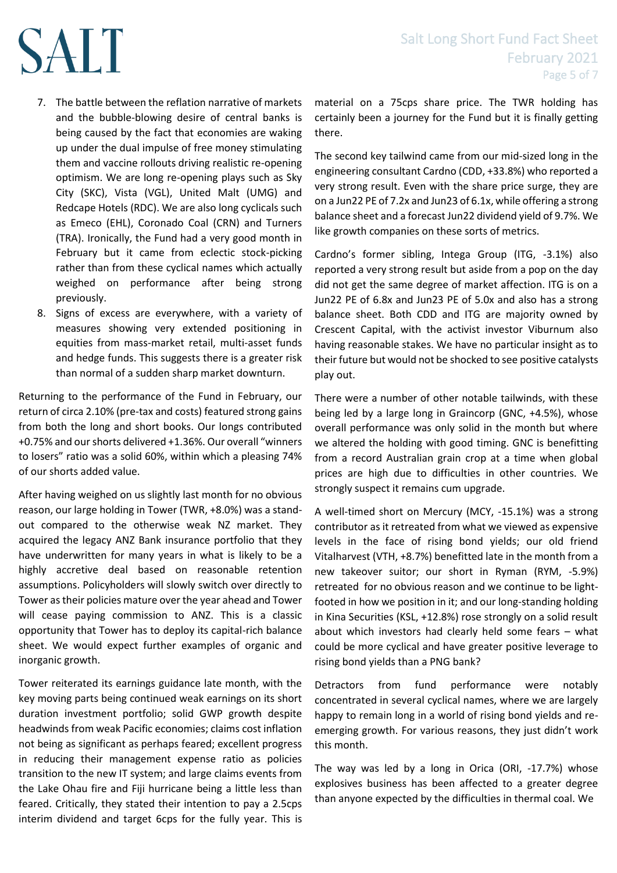- 7. The battle between the reflation narrative of markets and the bubble-blowing desire of central banks is being caused by the fact that economies are waking up under the dual impulse of free money stimulating them and vaccine rollouts driving realistic re-opening optimism. We are long re-opening plays such as Sky City (SKC), Vista (VGL), United Malt (UMG) and Redcape Hotels (RDC). We are also long cyclicals such as Emeco (EHL), Coronado Coal (CRN) and Turners (TRA). Ironically, the Fund had a very good month in February but it came from eclectic stock-picking rather than from these cyclical names which actually weighed on performance after being strong previously.
- 8. Signs of excess are everywhere, with a variety of measures showing very extended positioning in equities from mass-market retail, multi-asset funds and hedge funds. This suggests there is a greater risk than normal of a sudden sharp market downturn.

Returning to the performance of the Fund in February, our return of circa 2.10% (pre-tax and costs) featured strong gains from both the long and short books. Our longs contributed +0.75% and our shorts delivered +1.36%. Our overall "winners to losers" ratio was a solid 60%, within which a pleasing 74% of our shorts added value.

After having weighed on us slightly last month for no obvious reason, our large holding in Tower (TWR, +8.0%) was a standout compared to the otherwise weak NZ market. They acquired the legacy ANZ Bank insurance portfolio that they have underwritten for many years in what is likely to be a highly accretive deal based on reasonable retention assumptions. Policyholders will slowly switch over directly to Tower as their policies mature over the year ahead and Tower will cease paying commission to ANZ. This is a classic opportunity that Tower has to deploy its capital-rich balance sheet. We would expect further examples of organic and inorganic growth.

Tower reiterated its earnings guidance late month, with the key moving parts being continued weak earnings on its short duration investment portfolio; solid GWP growth despite headwinds from weak Pacific economies; claims cost inflation not being as significant as perhaps feared; excellent progress in reducing their management expense ratio as policies transition to the new IT system; and large claims events from the Lake Ohau fire and Fiji hurricane being a little less than feared. Critically, they stated their intention to pay a 2.5cps interim dividend and target 6cps for the fully year. This is

material on a 75cps share price. The TWR holding has certainly been a journey for the Fund but it is finally getting there.

The second key tailwind came from our mid-sized long in the engineering consultant Cardno (CDD, +33.8%) who reported a very strong result. Even with the share price surge, they are on a Jun22 PE of 7.2x and Jun23 of 6.1x, while offering a strong balance sheet and a forecast Jun22 dividend yield of 9.7%. We like growth companies on these sorts of metrics.

Cardno's former sibling, Intega Group (ITG, -3.1%) also reported a very strong result but aside from a pop on the day did not get the same degree of market affection. ITG is on a Jun22 PE of 6.8x and Jun23 PE of 5.0x and also has a strong balance sheet. Both CDD and ITG are majority owned by Crescent Capital, with the activist investor Viburnum also having reasonable stakes. We have no particular insight as to their future but would not be shocked to see positive catalysts play out.

There were a number of other notable tailwinds, with these being led by a large long in Graincorp (GNC, +4.5%), whose overall performance was only solid in the month but where we altered the holding with good timing. GNC is benefitting from a record Australian grain crop at a time when global prices are high due to difficulties in other countries. We strongly suspect it remains cum upgrade.

A well-timed short on Mercury (MCY, -15.1%) was a strong contributor as it retreated from what we viewed as expensive levels in the face of rising bond yields; our old friend Vitalharvest (VTH, +8.7%) benefitted late in the month from a new takeover suitor; our short in Ryman (RYM, -5.9%) retreated for no obvious reason and we continue to be lightfooted in how we position in it; and our long-standing holding in Kina Securities (KSL, +12.8%) rose strongly on a solid result about which investors had clearly held some fears – what could be more cyclical and have greater positive leverage to rising bond yields than a PNG bank?

Detractors from fund performance were notably concentrated in several cyclical names, where we are largely happy to remain long in a world of rising bond yields and reemerging growth. For various reasons, they just didn't work this month.

The way was led by a long in Orica (ORI, -17.7%) whose explosives business has been affected to a greater degree than anyone expected by the difficulties in thermal coal. We